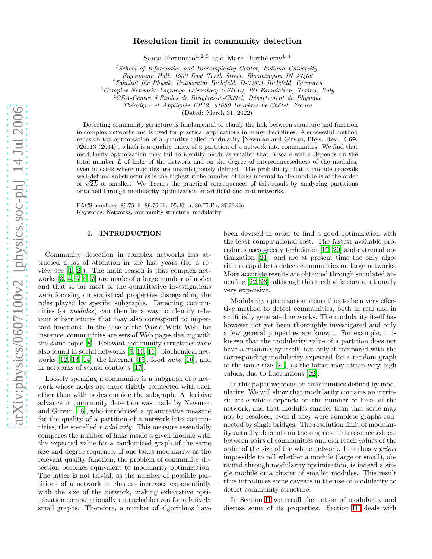# Resolution limit in community detection

Santo Fortunato<sup>1, 2, 3</sup> and Marc Barthélemy<sup>1, 4</sup>

 $1$ School of Informatics and Biocomplexity Center, Indiana University,

Eigenmann Hall, 1900 East Tenth Street, Bloomington IN 47406

 ${}^{2}F$ akultät für Physik, Universität Bielefeld, D-33501 Bielefeld, Germany

 $3$ Complex Networks Lagrange Laboratory (CNLL), ISI Foundation, Torino, Italy

 $4$ CEA-Centre d'Etudes de Bruyères-le-Châtel, Département de Physique

Théorique et Appliquée BP12, 91680 Bruyères-Le-Châtel, France

(Dated: March 31, 2022)

Detecting community structure is fundamental to clarify the link between structure and function in complex networks and is used for practical applications in many disciplines. A successful method relies on the optimization of a quantity called modularity [Newman and Girvan, Phys. Rev. E 69, 026113 (2004)], which is a quality index of a partition of a network into communities. We find that modularity optimization may fail to identify modules smaller than a scale which depends on the total number L of links of the network and on the degree of interconnectedness of the modules, even in cases where modules are unambiguously defined. The probability that a module conceals well-defined substructures is the highest if the number of links internal to the module is of the order of  $\sqrt{2L}$  or smaller. We discuss the practical consequences of this result by analyzing partitions obtained through modularity optimization in artificial and real networks.

PACS numbers: 89.75.-k, 89.75.Hc, 05.40 -a, 89.75.Fb, 87.23.Ge Keywords: Networks, community structure, modularity

### I. INTRODUCTION

Community detection in complex networks has attracted a lot of attention in the last years (for a review see [\[1](#page-6-0), [2](#page-6-1)]). The main reason is that complex networks [\[3,](#page-7-0) [4](#page-7-1), [5,](#page-7-2) [6,](#page-7-3) [7](#page-7-4)] are made of a large number of nodes and that so far most of the quantitative investigations were focusing on statistical properties disregarding the roles played by specific subgraphs. Detecting communities (or modules) can then be a way to identify relevant substructures that may also correspond to important functions. In the case of the World Wide Web, for instance, communities are sets of Web pages dealing with the same topic [\[8](#page-7-5)]. Relevant community structures were also found in social networks [\[9](#page-7-6), [10,](#page-7-7) [11\]](#page-7-8), biochemical networks [\[12](#page-7-9), [13,](#page-7-10) [14\]](#page-7-11), the Internet [\[15](#page-7-12)], food webs [\[16\]](#page-7-13), and in networks of sexual contacts [\[17\]](#page-7-14).

Loosely speaking a community is a subgraph of a network whose nodes are more tightly connected with each other than with nodes outside the subgraph. A decisive advance in community detection was made by Newman and Girvan [\[18](#page-7-15)], who introduced a quantitative measure for the quality of a partition of a network into communities, the so-called modularity. This measure essentially compares the number of links inside a given module with the expected value for a randomized graph of the same size and degree sequence. If one takes modularity as the relevant quality function, the problem of community detection becomes equivalent to modularity optimization. The latter is not trivial, as the number of possible partitions of a network in clusters increases exponentially with the size of the network, making exhaustive optimization computationally unreachable even for relatively small graphs. Therefore, a number of algorithms have

been devised in order to find a good optimization with the least computational cost. The fastest available procedures uses greedy techniques [\[19](#page-7-16), [20](#page-7-17)] and extremal optimization [\[21\]](#page-7-18), and are at present time the only algorithms capable to detect communities on large networks. More accurate results are obtained through simulated annealing [\[22](#page-7-19), [23\]](#page-7-20), although this method is computationally very expensive.

Modularity optimization seems thus to be a very effective method to detect communities, both in real and in artificially generated networks. The modularity itself has however not yet been thoroughly investigated and only a few general properties are known. For example, it is known that the modularity value of a partition does not have a meaning by itself, but only if compared with the corresponding modularity expected for a random graph of the same size [\[24](#page-7-21)], as the latter may attain very high values, due to fluctuations [\[22\]](#page-7-19).

In this paper we focus on communities defined by modularity. We will show that modularity contains an intrinsic scale which depends on the number of links of the network, and that modules smaller than that scale may not be resolved, even if they were complete graphs connected by single bridges. The resolution limit of modularity actually depends on the degree of interconnectedness between pairs of communities and can reach values of the order of the size of the whole network. It is thus a priori impossible to tell whether a module (large or small), obtained through modularity optimization, is indeed a single module or a cluster of smaller modules. This result thus introduces some caveats in the use of modularity to detect community structure.

In Section [II](#page-1-0) we recall the notion of modularity and discuss some of its properties. Section [III](#page-1-1) deals with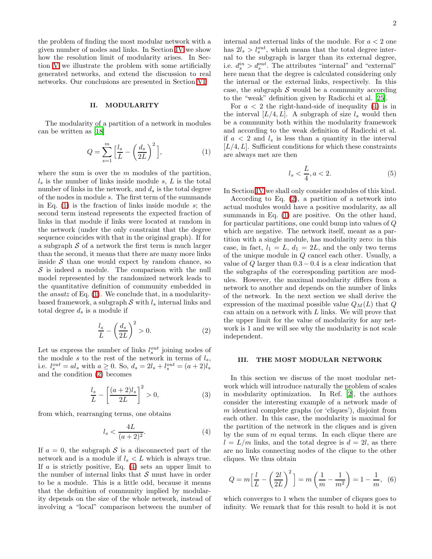the problem of finding the most modular network with a given number of nodes and links. In Section [IV](#page-2-0) we show how the resolution limit of modularity arises. In Section [V](#page-4-0) we illustrate the problem with some artificially generated networks, and extend the discussion to real networks. Our conclusions are presented in Section [VI.](#page-6-2)

## II. MODULARITY

<span id="page-1-2"></span><span id="page-1-0"></span>The modularity of a partition of a network in modules can be written as [\[18\]](#page-7-15)

$$
Q = \sum_{s=1}^{m} \left[ \frac{l_s}{L} - \left( \frac{d_s}{2L} \right)^2 \right],\tag{1}
$$

where the sum is over the  $m$  modules of the partition,  $l<sub>s</sub>$  is the number of links inside module s, L is the total number of links in the network, and  $d_s$  is the total degree of the nodes in module s. The first term of the summands in Eq.  $(1)$  is the fraction of links inside module s; the second term instead represents the expected fraction of links in that module if links were located at random in the network (under the only constraint that the degree sequence coincides with that in the original graph). If for a subgraph  $S$  of a network the first term is much larger than the second, it means that there are many more links inside  $S$  than one would expect by random chance, so  $S$  is indeed a module. The comparison with the null model represented by the randomized network leads to the quantitative definition of community embedded in the ansatz of Eq. [\(1\)](#page-1-2). We conclude that, in a modularitybased framework, a subgraph  $S$  with  $l_s$  internal links and total degree  $d_s$  is a module if

<span id="page-1-3"></span>
$$
\frac{l_s}{L} - \left(\frac{d_s}{2L}\right)^2 > 0.
$$
 (2)

Let us express the number of links  $l_s^{out}$  joining nodes of the module s to the rest of the network in terms of  $l_s$ , i.e.  $l_s^{out} = al_s \text{ with } a \ge 0.$  So,  $d_s = 2l_s + l_s^{out} = (a+2)l_s$ and the condition [\(2\)](#page-1-3) becomes

$$
\frac{l_s}{L} - \left[\frac{(a+2)l_s}{2L}\right]^2 > 0,\tag{3}
$$

from which, rearranging terms, one obtains

<span id="page-1-4"></span>
$$
l_s < \frac{4L}{(a+2)^2}.\tag{4}
$$

If  $a = 0$ , the subgraph S is a disconnected part of the network and is a module if  $l_s < L$  which is always true. If  $a$  is strictly positive, Eq.  $(4)$  sets an upper limit to the number of internal links that  $\mathcal S$  must have in order to be a module. This is a little odd, because it means that the definition of community implied by modularity depends on the size of the whole network, instead of involving a "local" comparison between the number of internal and external links of the module. For  $a<2$  one has  $2l_s > l_s^{out}$ , which means that the total degree internal to the subgraph is larger than its external degree, i.e.  $d_s^{in} > d_s^{out}$ . The attributes "internal" and "external" here mean that the degree is calculated considering only the internal or the external links, respectively. In this case, the subgraph  $S$  would be a community according to the "weak" definition given by Radicchi et al. [\[25](#page-7-22)].

For  $a < 2$  the right-hand-side of inequality [\(4\)](#page-1-4) is in the interval  $[L/4, L]$ . A subgraph of size  $l_s$  would then be a community both within the modularity framework and according to the weak definition of Radicchi et al. if  $a < 2$  and  $l_s$  is less than a quantity in the interval  $[L/4, L]$ . Sufficient conditions for which these constraints are always met are then

<span id="page-1-6"></span>
$$
l_s < \frac{L}{4}, a < 2. \tag{5}
$$

In Section [IV](#page-2-0) we shall only consider modules of this kind.

According to Eq. [\(2\)](#page-1-3), a partition of a network into actual modules would have a positive modularity, as all summands in Eq. [\(1\)](#page-1-2) are positive. On the other hand, for particular partitions, one could bump into values of Q which are negative. The network itself, meant as a partition with a single module, has modularity zero: in this case, in fact,  $l_1 = L$ ,  $d_1 = 2L$ , and the only two terms of the unique module in Q cancel each other. Usually, a value of  $Q$  larger than  $0.3 - 0.4$  is a clear indication that the subgraphs of the corresponding partition are modules. However, the maximal modularity differs from a network to another and depends on the number of links of the network. In the next section we shall derive the expression of the maximal possible value  $Q_M(L)$  that  $Q$ can attain on a network with  $L$  links. We will prove that the upper limit for the value of modularity for any network is 1 and we will see why the modularity is not scale independent.

### III. THE MOST MODULAR NETWORK

<span id="page-1-1"></span>In this section we discuss of the most modular network which will introduce naturally the problem of scales in modularity optimization. In Ref. [\[2](#page-6-1)], the authors consider the interesting example of a network made of  $m$  identical complete graphs (or 'cliques'), disjoint from each other. In this case, the modularity is maximal for the partition of the network in the cliques and is given by the sum of  $m$  equal terms. In each clique there are  $l = L/m$  links, and the total degree is  $d = 2l$ , as there are no links connecting nodes of the clique to the other cliques. We thus obtain

<span id="page-1-5"></span>
$$
Q = m \left[ \frac{l}{L} - \left( \frac{2l}{2L} \right)^2 \right] = m \left( \frac{1}{m} - \frac{1}{m^2} \right) = 1 - \frac{1}{m}, \tag{6}
$$

which converges to 1 when the number of cliques goes to infinity. We remark that for this result to hold it is not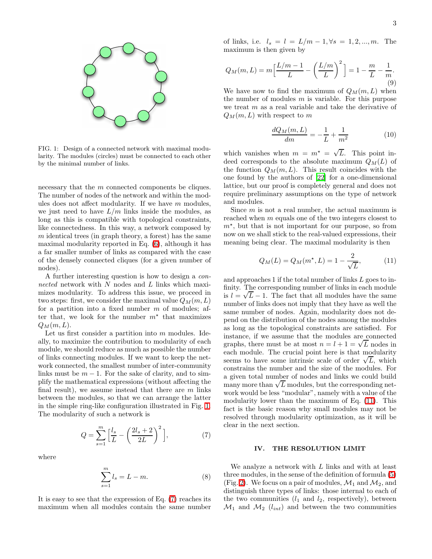

<span id="page-2-1"></span>FIG. 1: Design of a connected network with maximal modularity. The modules (circles) must be connected to each other by the minimal number of links.

necessary that the m connected components be cliques. The number of nodes of the network and within the modules does not affect modularity. If we have  $m$  modules, we just need to have  $L/m$  links inside the modules, as long as this is compatible with topological constraints, like connectedness. In this way, a network composed by  $m$  identical trees (in graph theory, a forest) has the same maximal modularity reported in Eq. [\(6\)](#page-1-5), although it has a far smaller number of links as compared with the case of the densely connected cliques (for a given number of nodes).

A further interesting question is how to design a connected network with  $N$  nodes and  $L$  links which maximizes modularity. To address this issue, we proceed in two steps: first, we consider the maximal value  $Q_M(m, L)$ for a partition into a fixed number  $m$  of modules; after that, we look for the number  $m^*$  that maximizes  $Q_M(m,L)$ .

Let us first consider a partition into m modules. Ideally, to maximize the contribution to modularity of each module, we should reduce as much as possible the number of links connecting modules. If we want to keep the network connected, the smallest number of inter-community links must be  $m - 1$ . For the sake of clarity, and to simplify the mathematical expressions (without affecting the final result), we assume instead that there are  $m$  links between the modules, so that we can arrange the latter in the simple ring-like configuration illustrated in Fig. [1.](#page-2-1) The modularity of such a network is

<span id="page-2-2"></span>
$$
Q = \sum_{s=1}^{m} \left[ \frac{l_s}{L} - \left( \frac{2l_s + 2}{2L} \right)^2 \right],\tag{7}
$$

where

$$
\sum_{s=1}^{m} l_s = L - m.
$$
 (8)

It is easy to see that the expression of Eq. [\(7\)](#page-2-2) reaches its maximum when all modules contain the same number of links, i.e.  $l_s = l = L/m - 1, \forall s = 1, 2, ..., m$ . The maximum is then given by

$$
Q_M(m, L) = m \left[ \frac{L/m - 1}{L} - \left( \frac{L/m}{L} \right)^2 \right] = 1 - \frac{m}{L} - \frac{1}{m}.
$$
\n(9)

We have now to find the maximum of  $Q_M(m, L)$  when the number of modules  $m$  is variable. For this purpose we treat  $m$  as a real variable and take the derivative of  $Q_M(m, L)$  with respect to m

$$
\frac{dQ_M(m,L)}{dm} = -\frac{1}{L} + \frac{1}{m^2}
$$
 (10)

which vanishes when  $m = m^* = \sqrt{L}$ . This point indeed corresponds to the absolute maximum  $Q_M(L)$  of the function  $Q_M(m, L)$ . This result coincides with the one found by the authors of [\[22\]](#page-7-19) for a one-dimensional lattice, but our proof is completely general and does not require preliminary assumptions on the type of network and modules.

Since  $m$  is not a real number, the actual maximum is reached when m equals one of the two integers closest to  $m<sup>*</sup>$ , but that is not important for our purpose, so from now on we shall stick to the real-valued expressions, their meaning being clear. The maximal modularity is then

<span id="page-2-3"></span>
$$
Q_M(L) = Q_M(m^*, L) = 1 - \frac{2}{\sqrt{L}},
$$
 (11)

and approaches 1 if the total number of links L goes to infinity. The corresponding number of links in each module is  $l = \sqrt{L} - 1$ . The fact that all modules have the same number of links does not imply that they have as well the same number of nodes. Again, modularity does not depend on the distribution of the nodes among the modules as long as the topological constraints are satisfied. For instance, if we assume that the modules are connected graphs, there must be at most  $n = l + 1 = \sqrt{L}$  nodes in each module. The crucial point here is that modularity seems to have some intrinsic scale of order  $\sqrt{L}$ , which constrains the number and the size of the modules. For a given total number of nodes and links we could build many more than  $\sqrt{L}$  modules, but the corresponding network would be less "modular", namely with a value of the modularity lower than the maximum of Eq. [\(11\)](#page-2-3). This fact is the basic reason why small modules may not be resolved through modularity optimization, as it will be clear in the next section.

#### IV. THE RESOLUTION LIMIT

<span id="page-2-0"></span>We analyze a network with L links and with at least three modules, in the sense of the definition of formula [\(5\)](#page-1-6) (Fig. [2\)](#page-3-0). We focus on a pair of modules,  $\mathcal{M}_1$  and  $\mathcal{M}_2$ , and distinguish three types of links: those internal to each of the two communities  $(l_1 \text{ and } l_2, \text{ respectively})$ , between  $\mathcal{M}_1$  and  $\mathcal{M}_2$  ( $l_{int}$ ) and between the two communities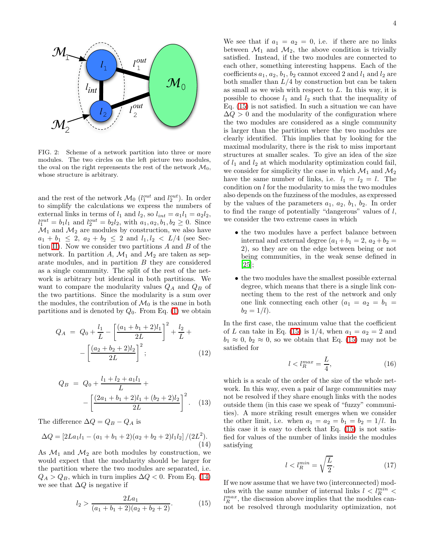

<span id="page-3-0"></span>FIG. 2: Scheme of a network partition into three or more modules. The two circles on the left picture two modules, the oval on the right reprensents the rest of the network  $\mathcal{M}_0$ , whose structure is arbitrary.

and the rest of the network  $\mathcal{M}_0$  ( $l_1^{out}$  and  $l_2^{out}$ ). In order to simplify the calculations we express the numbers of external links in terms of  $l_1$  and  $l_2$ , so  $l_{int} = a_1 l_1 = a_2 l_2$ ,  $l_1^{out} = b_1 l_1$  and  $l_2^{out} = b_2 l_2$ , with  $a_1, a_2, b_1, b_2 \geq 0$ . Since  $\mathcal{M}_1$  and  $\mathcal{M}_2$  are modules by construction, we also have  $a_1 + b_1 \leq 2$ ,  $a_2 + b_2 \leq 2$  and  $l_1, l_2 < L/4$  (see Sec-tion [II\)](#page-1-0). Now we consider two partitions  $A$  and  $B$  of the network. In partition A,  $\mathcal{M}_1$  and  $\mathcal{M}_2$  are taken as separate modules, and in partition B they are considered as a single community. The split of the rest of the network is arbitrary but identical in both partitions. We want to compare the modularity values  $Q_A$  and  $Q_B$  of the two partitions. Since the modularity is a sum over the modules, the contribution of  $\mathcal{M}_0$  is the same in both partitions and is denoted by  $Q_0$ . From Eq. [\(1\)](#page-1-2) we obtain

$$
Q_A = Q_0 + \frac{l_1}{L} - \left[ \frac{(a_1 + b_1 + 2)l_1}{2L} \right]^2 + \frac{l_2}{L} + \frac{l_1}{L}
$$

$$
-\left[ \frac{(a_2 + b_2 + 2)l_2}{2L} \right]^2; \tag{12}
$$

<span id="page-3-1"></span>
$$
Q_B = Q_0 + \frac{l_1 + l_2 + a_1 l_1}{L} +
$$

$$
-\left[\frac{(2a_1 + b_1 + 2)l_1 + (b_2 + 2)l_2}{2L}\right]^2.
$$
 (13)

The difference  $\Delta Q = Q_B - Q_A$  is

$$
\Delta Q = \left[2La_1l_1 - (a_1 + b_1 + 2)(a_2 + b_2 + 2)l_1l_2\right]/(2L^2).
$$
\n(14)

As  $\mathcal{M}_1$  and  $\mathcal{M}_2$  are both modules by construction, we would expect that the modularity should be larger for the partition where the two modules are separated, i.e.  $Q_A > Q_B$ , which in turn implies  $\Delta Q < 0$ . From Eq. [\(14\)](#page-3-1) we see that  $\Delta Q$  is negative if

<span id="page-3-2"></span>
$$
l_2 > \frac{2La_1}{(a_1 + b_1 + 2)(a_2 + b_2 + 2)}.\t(15)
$$

We see that if  $a_1 = a_2 = 0$ , i.e. if there are no links between  $\mathcal{M}_1$  and  $\mathcal{M}_2$ , the above condition is trivially satisfied. Instead, if the two modules are connected to each other, something interesting happens. Each of the coefficients  $a_1, a_2, b_1, b_2$  cannot exceed 2 and  $l_1$  and  $l_2$  are both smaller than  $L/4$  by construction but can be taken as small as we wish with respect to  $L$ . In this way, it is possible to choose  $l_1$  and  $l_2$  such that the inequality of Eq. [\(15\)](#page-3-2) is not satisfied. In such a situation we can have  $\Delta Q > 0$  and the modularity of the configuration where the two modules are considered as a single community is larger than the partition where the two modules are clearly identified. This implies that by looking for the maximal modularity, there is the risk to miss important structures at smaller scales. To give an idea of the size of  $l_1$  and  $l_2$  at which modularity optimization could fail, we consider for simplicity the case in which  $\mathcal{M}_1$  and  $\mathcal{M}_2$ have the same number of links, i.e.  $l_1 = l_2 = l$ . The condition on l for the modularity to miss the two modules also depends on the fuzziness of the modules, as expressed by the values of the parameters  $a_1, a_2, b_1, b_2$ . In order to find the range of potentially "dangerous" values of  $l$ ,

• the two modules have a perfect balance between internal and external degree  $(a_1 + b_1 = 2, a_2 + b_2 =$ 2), so they are on the edge between being or not being communities, in the weak sense defined in [\[25\]](#page-7-22);

we consider the two extreme cases in which

• the two modules have the smallest possible external degree, which means that there is a single link connecting them to the rest of the network and only one link connecting each other  $(a_1 = a_2 = b_1 =$  $b_2 = 1/l$ ).

<span id="page-3-3"></span>In the first case, the maximum value that the coefficient of L can take in Eq. [\(15\)](#page-3-2) is  $1/4$ , when  $a_1 = a_2 = 2$  and  $b_1 \approx 0, b_2 \approx 0$ , so we obtain that Eq. [\(15\)](#page-3-2) may not be satisfied for

$$
l < l_R^{max} = \frac{L}{4},\tag{16}
$$

which is a scale of the order of the size of the whole network. In this way, even a pair of large communities may not be resolved if they share enough links with the nodes outside them (in this case we speak of "fuzzy" communities). A more striking result emerges when we consider the other limit, i.e. when  $a_1 = a_2 = b_1 = b_2 = 1/l$ . In this case it is easy to check that Eq. [\(15\)](#page-3-2) is not satisfied for values of the number of links inside the modules satisfying

$$
l < l_R^{min} = \sqrt{\frac{L}{2}}.\tag{17}
$$

If we now assume that we have two (interconnected) modules with the same number of internal links  $l$   $<$   $l_R^{min}$   $<$  $l_R^{max}$ , the discussion above implies that the modules cannot be resolved through modularity optimization, not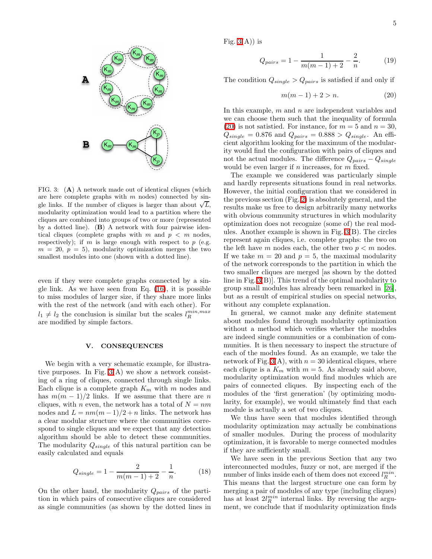

<span id="page-4-1"></span>FIG. 3: (A) A network made out of identical cliques (which are here complete graphs with  $m$  nodes) connected by single links. If the number of cliques is larger than about  $\sqrt{L}$ , modularity optimization would lead to a partition where the cliques are combined into groups of two or more (represented by a dotted line). (B) A network with four pairwise identical cliques (complete graphs with m and  $p < m$  nodes, respectively); if m is large enough with respect to  $p$  (e.g.  $m = 20, p = 5$ , modularity optimization merges the two smallest modules into one (shown with a dotted line).

even if they were complete graphs connected by a single link. As we have seen from Eq.  $(16)$ , it is possible to miss modules of larger size, if they share more links with the rest of the network (and with each other). For  $l_1 \neq l_2$  the conclusion is similar but the scales  $l_R^{min,max}$ are modified by simple factors.

## V. CONSEQUENCES

<span id="page-4-0"></span>We begin with a very schematic example, for illustrative purposes. In Fig.  $3(A)$  we show a network consisting of a ring of cliques, connected through single links. Each clique is a complete graph  $K_m$  with m nodes and has  $m(m-1)/2$  links. If we assume that there are n cliques, with n even, the network has a total of  $N = nm$ nodes and  $L = nm(m-1)/2 + n$  links. The network has a clear modular structure where the communities correspond to single cliques and we expect that any detection algorithm should be able to detect these communities. The modularity  $Q_{single}$  of this natural partition can be easily calculated and equals

$$
Q_{single} = 1 - \frac{2}{m(m-1) + 2} - \frac{1}{n}.
$$
 (18)

On the other hand, the modularity  $Q_{pairs}$  of the partition in which pairs of consecutive cliques are considered as single communities (as shown by the dotted lines in Fig.  $3(A)$  is

$$
Q_{pairs} = 1 - \frac{1}{m(m-1) + 2} - \frac{2}{n}.
$$
 (19)

The condition  $Q_{single} > Q_{pairs}$  is satisfied if and only if

<span id="page-4-2"></span>
$$
m(m-1) + 2 > n.
$$
 (20)

In this example,  $m$  and  $n$  are independent variables and we can choose them such that the inequality of formula [\(20\)](#page-4-2) is not satistied. For instance, for  $m = 5$  and  $n = 30$ ,  $Q_{single} = 0.876$  and  $Q_{pairs} = 0.888 > Q_{single}$ . An efficient algorithm looking for the maximum of the modularity would find the configuration with pairs of cliques and not the actual modules. The difference  $Q_{pairs} - Q_{single}$ would be even larger if  $n$  increases, for  $m$  fixed.

The example we considered was particularly simple and hardly represents situations found in real networks. However, the initial configuration that we considered in the previous section (Fig. [2\)](#page-3-0) is absolutely general, and the results make us free to design arbitrarily many networks with obvious community structures in which modularity optimization does not recognize (some of) the real modules. Another example is shown in Fig. [3\(](#page-4-1)B). The circles represent again cliques, i.e. complete graphs: the two on the left have m nodes each, the other two  $p < m$  nodes. If we take  $m = 20$  and  $p = 5$ , the maximal modularity of the network corresponds to the partition in which the two smaller cliques are merged [as shown by the dotted line in Fig. [3\(](#page-4-1)B)]. This trend of the optimal modularity to group small modules has already been remarked in [\[26\]](#page-7-23), but as a result of empirical studies on special networks, without any complete explanation.

In general, we cannot make any definite statement about modules found through modularity optimization without a method which verifies whether the modules are indeed single communities or a combination of communities. It is then necessary to inspect the structure of each of the modules found. As an example, we take the network of Fig. [3\(](#page-4-1)A), with  $n = 30$  identical cliques, where each clique is a  $K_m$  with  $m = 5$ . As already said above, modularity optimization would find modules which are pairs of connected cliques. By inspecting each of the modules of the 'first generation' (by optimizing modularity, for example), we would ultimately find that each module is actually a set of two cliques.

We thus have seen that modules identified through modularity optimization may actually be combinations of smaller modules. During the process of modularity optimization, it is favorable to merge connected modules if they are sufficiently small.

We have seen in the previous Section that any two interconnected modules, fuzzy or not, are merged if the number of links inside each of them does not exceed  $l_R^{min}$ . This means that the largest structure one can form by merging a pair of modules of any type (including cliques) has at least  $2l_R^{min}$  internal links. By reversing the argument, we conclude that if modularity optimization finds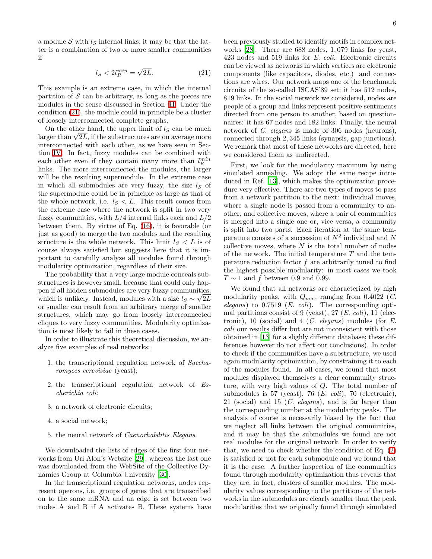<span id="page-5-0"></span>a module S with  $l<sub>S</sub>$  internal links, it may be that the latter is a combination of two or more smaller communities if

$$
l_S < 2l_R^{\min} = \sqrt{2L}.\tag{21}
$$

This example is an extreme case, in which the internal partition of  $S$  can be arbitrary, as long as the pieces are modules in the sense discussed in Section [II.](#page-1-0) Under the condition [\(21\)](#page-5-0), the module could in principle be a cluster of loosely interconnected complete graphs.

On the other hand, the upper limit of  $l<sub>S</sub>$  can be much larger than  $\sqrt{2L}$ , if the substructures are on average more interconnected with each other, as we have seen in Section [IV.](#page-2-0) In fact, fuzzy modules can be combined with each other even if they contain many more than  $l_R^{min}$ links. The more interconnected the modules, the larger will be the resulting supermodule. In the extreme case in which all submodules are very fuzzy, the size  $l<sub>S</sub>$  of the supermodule could be in principle as large as that of the whole network, i.e.  $l_S < L$ . This result comes from the extreme case where the network is split in two very fuzzy communities, with  $L/4$  internal links each and  $L/2$ between them. By virtue of Eq. [\(16\)](#page-3-3), it is favorable (or just as good) to merge the two modules and the resulting structure is the whole network. This limit  $l_S < L$  is of course always satisfied but suggests here that it is important to carefully analyze all modules found through modularity optimization, regardless of their size.

The probability that a very large module conceals substructures is however small, because that could only happen if all hidden submodules are very fuzzy communities, which is unlikely. Instead, modules with a size  $l_S \sim \sqrt{2L}$ or smaller can result from an arbitrary merge of smaller structures, which may go from loosely interconnected cliques to very fuzzy communities. Modularity optimization is most likely to fail in these cases.

In order to illustrate this theoretical discussion, we analyze five examples of real networks:

- 1. the transcriptional regulation network of Saccharomyces cerevisiae (yeast);
- 2. the transcriptional regulation network of Escherichia coli;
- 3. a network of electronic circuits;
- 4. a social network;
- 5. the neural network of Caenorhabditis Elegans.

We downloaded the lists of edges of the first four networks from Uri Alon's Website [\[29\]](#page-7-24), whereas the last one was downloaded from the WebSite of the Collective Dynamics Group at Columbia University [\[30](#page-7-25)].

In the transcriptional regulation networks, nodes represent operons, i.e. groups of genes that are transcribed on to the same mRNA and an edge is set between two nodes A and B if A activates B. These systems have been previously studied to identify motifs in complex networks [\[28\]](#page-7-26). There are 688 nodes, 1, 079 links for yeast, 423 nodes and 519 links for E. coli. Electronic circuits can be viewed as networks in which vertices are electronic components (like capacitors, diodes, etc.) and connections are wires. Our network maps one of the benchmark circuits of the so-called ISCAS'89 set; it has 512 nodes, 819 links. In the social network we considered, nodes are people of a group and links represent positive sentiments directed from one person to another, based on questionnaires: it has 67 nodes and 182 links. Finally, the neural network of *C. elegans* is made of 306 nodes (neurons), connected through 2, 345 links (synapsis, gap junctions). We remark that most of these networks are directed, here we considered them as undirected.

First, we look for the modularity maximum by using simulated annealing. We adopt the same recipe introduced in Ref. [\[13\]](#page-7-10), which makes the optimization procedure very effective. There are two types of moves to pass from a network partition to the next: individual moves, where a single node is passed from a community to another, and collective moves, where a pair of communities is merged into a single one or, vice versa, a community is split into two parts. Each iteration at the same temperature consists of a succession of  $N^2$  individual and N collective moves, where  $N$  is the total number of nodes of the network. The initial temperature  $T$  and the temperature reduction factor f are arbitrarily tuned to find the highest possible modularity: in most cases we took  $T \sim 1$  and f between 0.9 and 0.99.

We found that all networks are characterized by high modularity peaks, with  $Q_{max}$  ranging from 0.4022 (C.  $elegans)$  to 0.7519 (*E. coli*). The corresponding optimal partitions consist of 9 (yeast), 27  $(E. \; coli)$ , 11 (electronic), 10 (social) and 4 (C. elegans) modules (for  $E$ . coli our results differ but are not inconsistent with those obtained in [\[13](#page-7-10)] for a slighly different database; these differences however do not affect our conclusions). In order to check if the communities have a substructure, we used again modularity optimization, by constraining it to each of the modules found. In all cases, we found that most modules displayed themselves a clear community structure, with very high values of Q. The total number of submodules is 57 (yeast), 76 (E. coli), 70 (electronic), 21 (social) and 15 (C. elegans), and is far larger than the corresponding number at the modularity peaks. The analysis of course is necessarily biased by the fact that we neglect all links between the original communities, and it may be that the submodules we found are not real modules for the original network. In order to verify that, we need to check whether the condition of Eq. [\(2\)](#page-1-3) is satisfied or not for each submodule and we found that it is the case. A further inspection of the communities found through modularity optimization thus reveals that they are, in fact, clusters of smaller modules. The modularity values corresponding to the partitions of the networks in the submodules are clearly smaller than the peak modularities that we originally found through simulated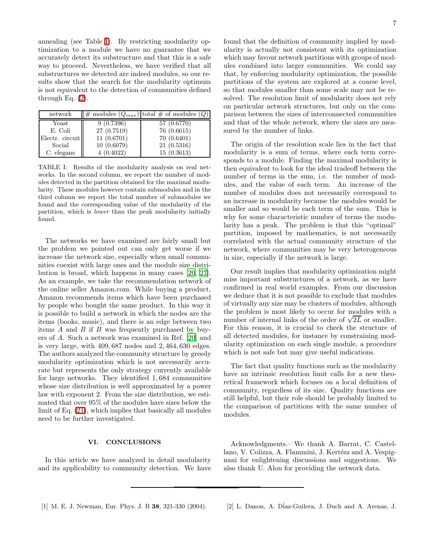annealing (see Table [I\)](#page-6-3). By restricting modularity optimization to a module we have no guarantee that we accurately detect its substructure and that this is a safe way to proceed. Nevertheless, we have verified that all substructures we detected are indeed modules, so our results show that the search for the modularity optimum is not equivalent to the detection of communities defined through Eq. [\(2\)](#page-1-3).

| network         |             | $\ \#$ modules $(Q_{max})$ total $\#$ of modules $(Q)$ |
|-----------------|-------------|--------------------------------------------------------|
| Yeast           | 9(0.7396)   | 57 (0.6770)                                            |
| E. Coli         | 27 (0.7519) | 76 (0.6615)                                            |
| Electr. circuit | 11(0.6701)  | 70(0.6401)                                             |
| Social          | 10(0.6079)  | 21(0.5316)                                             |
| C. elegans      | 4(0.4022)   | 15(0.3613)                                             |

<span id="page-6-3"></span>TABLE I: Results of the modularity analysis on real networks. In the second column, we report the number of modules detected in the partition obtained for the maximal modularity. These modules however contain submodules and in the third column we report the total number of submodules we found and the corresponding value of the modularity of the partition, which is lower than the peak modularity initially found.

The networks we have examined are fairly small but the problem we pointed out can only get worse if we increase the network size, especially when small communities coexist with large ones and the module size distribution is broad, which happens in many cases [\[20,](#page-7-17) [27\]](#page-7-27). As an example, we take the recommendation network of the online seller Amazon.com. While buying a product, Amazon recommends items which have been purchased by people who bought the same product. In this way it is possible to build a network in which the nodes are the items (books, music), and there is an edge between two items  $A$  and  $B$  if  $B$  was frequently purchased by buyers of A. Such a network was examined in Ref. [\[20\]](#page-7-17) and is very large, with 409, 687 nodes and 2, 464, 630 edges. The authors analyzed the community structure by greedy modularity optimization which is not necessarily accurate but represents the only strategy currently available for large networks. They identified 1, 684 communities whose size distribution is well approximated by a power law with exponent 2. From the size distribution, we estimated that over 95% of the modules have sizes below the limit of Eq. [\(21\)](#page-5-0), which implies that basically all modules need to be further investigated.

# VI. CONCLUSIONS

<span id="page-6-2"></span>In this article we have analyzed in detail modularity and its applicability to community detection. We have found that the definition of community implied by modularity is actually not consistent with its optimization which may favour network partitions with groups of modules combined into larger communities. We could say that, by enforcing modularity optimization, the possible partitions of the system are explored at a coarse level, so that modules smaller than some scale may not be resolved. The resolution limit of modularity does not rely on particular network structures, but only on the comparison between the sizes of interconnected communities and that of the whole network, where the sizes are measured by the number of links.

The origin of the resolution scale lies in the fact that modularity is a sum of terms, where each term corresponds to a module. Finding the maximal modularity is then equivalent to look for the ideal tradeoff between the number of terms in the sum, i.e. the number of modules, and the value of each term. An increase of the number of modules does not necessarily correspond to an increase in modularity because the modules would be smaller and so would be each term of the sum. This is why for some characteristic number of terms the modularity has a peak. The problem is that this "optimal" partition, imposed by mathematics, is not necessarily correlated with the actual community structure of the network, where communities may be very heterogeneous in size, especially if the network is large.

Our result implies that modularity optimization might miss important substructures of a network, as we have confirmed in real world examples. From our discussion we deduce that it is not possible to exclude that modules of virtually any size may be clusters of modules, although the problem is most likely to occur for modules with a number of internal links of the order of  $\sqrt{2L}$  or smaller. For this reason, it is crucial to check the structure of all detected modules, for instance by constraining modularity optimization on each single module, a procedure which is not safe but may give useful indications.

The fact that quality functions such as the modularity have an intrinsic resolution limit calls for a new theoretical framework which focuses on a local definition of community, regardless of its size. Quality functions are still helpful, but their role should be probably limited to the comparison of partitions with the same number of modules.

<span id="page-6-1"></span>Acknowledgments.– We thank A. Barrat, C. Castellano, V. Colizza, A. Flammini, J. Kertész and A. Vespignani for enlightening discussions and suggestions. We also thank U. Alon for providing the network data.

- <span id="page-6-0"></span>[1] M. E. J. Newman, Eur. Phys. J. B 38, 321-330 (2004). [2] L. Danon, A. D´iaz-Guilera, J. Duch and A. Arenas, J.
	-